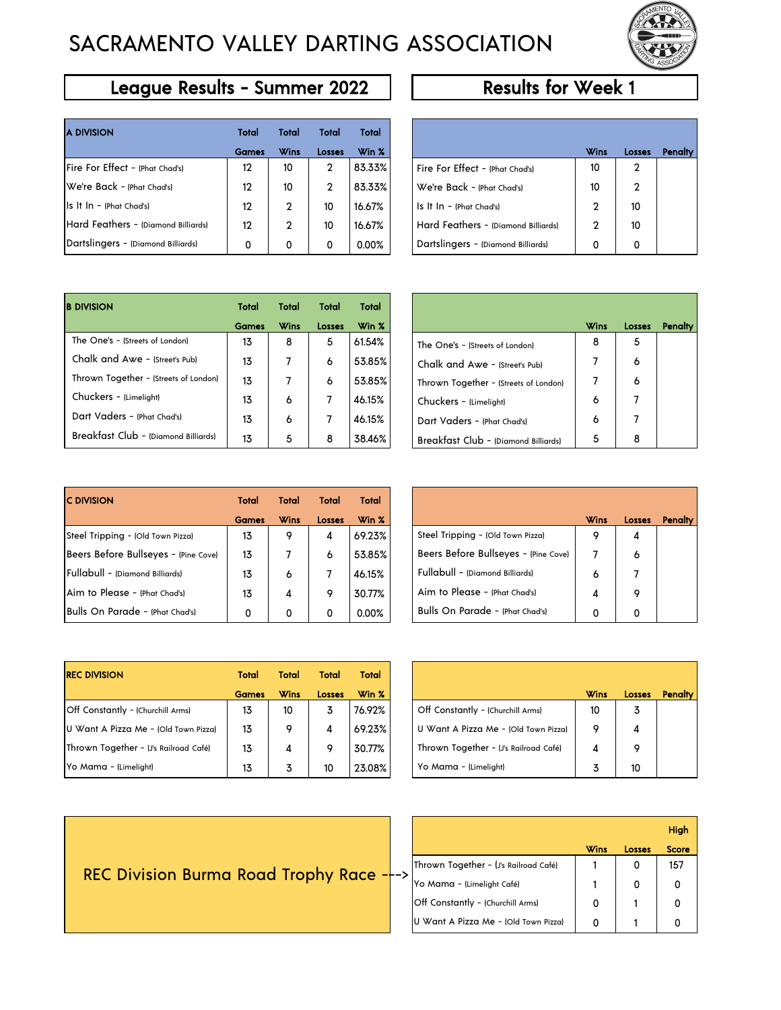# SACRAMENTO VALLEY DARTING ASSOCIATION



### League Results - Summer 2022 Results for Week 1

| <b>A DIVISION</b>                   | Total        | Total       | Total        | Total  |                                        |      |                |
|-------------------------------------|--------------|-------------|--------------|--------|----------------------------------------|------|----------------|
|                                     | <b>Games</b> | <b>Wins</b> | Losses       | Win %  |                                        | Wins | Los:           |
| Fire For Effect - (Phat Chad's)     | 12           | 10          | 2            | 83.33% | Fire For Effect - (Phat Chad's)        | 10   | 2              |
| We're Back - (Phat Chad's)          | 12           | 10          | $\mathbf{2}$ | 83.33% | We're Back - (Phat Chad's)             | 10   | $\overline{2}$ |
| $\ $ s It $\ $ n - (Phat Chad's)    | 12           | 2           | 10           | 16.67% | $\vert$ s It $\vert$ n - (Phat Chad's) | 2    | 10             |
| Hard Feathers - (Diamond Billiards) | 12           | 2           | 10           | 16.67% | Hard Feathers - (Diamond Billiards)    | 2    | 10             |
| Dartslingers - (Diamond Billiards)  | 0            | 0           | 0            | 0.00%  | Dartslingers - (Diamond Billiards)     | 0    | 0              |

| Total        | <b>Total</b> | Total  | Total  |                                     |             |               |         |
|--------------|--------------|--------|--------|-------------------------------------|-------------|---------------|---------|
| <b>Games</b> | <b>Wins</b>  | Losses | Win %  |                                     | <b>Wins</b> | <b>Losses</b> | Penalty |
| 12           | 10           | 2      | 83.33% | Fire For Effect - (Phat Chad's)     | 10          | 2             |         |
| 12           | 10           | 2      | 83.33% | We're Back - (Phat Chad's)          | 10          | 2             |         |
| 12           | 2            | 10     | 16.67% | $ls$ It $ln - (Phot Chad's)$        | 2           | 10            |         |
| 12           | 2            | 10     | 16.67% | Hard Feathers - (Diamond Billiards) | 2           | 10            |         |
| 0            | 0            | 0      | 0.00%  | Dartslingers - (Diamond Billiards)  | 0           |               |         |

| <b>B DIVISION</b>                     | Total        | Total       | Total  | Total  |
|---------------------------------------|--------------|-------------|--------|--------|
|                                       | <b>Games</b> | <b>Wins</b> | Losses | Win %  |
| The One's - (Streets of London)       | 13           | 8           | 5      | 61.54% |
| Chalk and Awe - (Street's Pub)        | 13           | 7           | 6      | 53.85% |
| Thrown Together - (Streets of London) | 13           |             | 6      | 53.85% |
| Chuckers - (Limelight)                | 13           | 6           |        | 46.15% |
| Dart Vaders - (Phat Chad's)           | 13           | 6           |        | 46.15% |
| Breakfast Club - (Diamond Billiards)  | 13           | 5           | 8      | 38.46% |

| <b>Total</b> | <b>Total</b> | <b>Total</b> | Total  |                                       |      |        |  |
|--------------|--------------|--------------|--------|---------------------------------------|------|--------|--|
| <b>Games</b> | <b>Wins</b>  | Losses       | Win %  |                                       | Wins | Losses |  |
| 13           | 8            | 5            | 61.54% | The One's - (Streets of London)       | 8    | 5      |  |
| 13           | 7            | 6            | 53.85% | Chalk and Awe - (Street's Pub)        | 7    | 6      |  |
| 13           | 7            | 6            | 53.85% | Thrown Together - (Streets of London) | 7    | 6      |  |
| 13           | 6            |              | 46.15% | Chuckers - (Limelight)                | 6    |        |  |
| 13           | 6            |              | 46.15% | Dart Vaders - (Phat Chad's)           | 6    |        |  |
| 13           | 5            | 8            | 38.46% | Breakfast Club - (Diamond Billiards)  | 5    | 8      |  |

| <b>C DIVISION</b>                    | Total        | <b>Total</b> | Total         | Total  |                                      |             |      |
|--------------------------------------|--------------|--------------|---------------|--------|--------------------------------------|-------------|------|
|                                      | <b>Games</b> | <b>Wins</b>  | <b>Losses</b> | Win %  |                                      | <b>Wins</b> | Los: |
| Steel Tripping - (Old Town Pizza)    | 13           | 9            | 4             | 69.23% | Steel Tripping - (Old Town Pizza)    | 9           | 4    |
| Beers Before Bullseyes - (Pine Cove) | 13           |              | 6             | 53.85% | Beers Before Bullseyes - (Pine Cove) |             | 6    |
| Fullabull - (Diamond Billiards)      | 13           | 6            |               | 46.15% | Fullabull - (Diamond Billiards)      | 6           |      |
| Aim to Please - (Phat Chad's)        | 13           | 4            | 9             | 30.77% | Aim to Please - (Phat Chad's)        | 4           | 9    |
| Bulls On Parade - (Phat Chad's)      | 0            | 0            | 0             | 0.00%  | Bulls On Parade - (Phat Chad's)      | 0           | 0    |

| Total | Total       | <b>Total</b>  | Total  |                                      |             |               |         |
|-------|-------------|---------------|--------|--------------------------------------|-------------|---------------|---------|
| Games | <b>Wins</b> | <b>Losses</b> | Win %  |                                      | <b>Wins</b> | <b>Losses</b> | Penalty |
| 13    | 9           | 4             | 69.23% | Steel Tripping - (Old Town Pizza)    | 9           | 4             |         |
| 13    |             | 6             | 53.85% | Beers Before Bullseyes - (Pine Cove) |             | 6             |         |
| 13    | 6           |               | 46.15% | Fullabull - (Diamond Billiards)      | 6           |               |         |
| 13    | 4           | 9             | 30.77% | Aim to Please - (Phat Chad's)        | 4           | 9             |         |
| 0     | 0           |               | 0.00%  | Bulls On Parade - (Phat Chad's)      | 0           | 0             |         |

| <b>REC DIVISION</b>                   | Total        | Total       | Total         | Total  |                                       |             |                |
|---------------------------------------|--------------|-------------|---------------|--------|---------------------------------------|-------------|----------------|
|                                       | <b>Games</b> | <b>Wins</b> | <b>Losses</b> | Win %  |                                       | <b>Wins</b> | Loss           |
| Off Constantly - (Churchill Arms)     | 13           | 10          | 3             | 76.92% | Off Constantly - (Churchill Arms)     | 10          | 3              |
| U Want A Pizza Me - (Old Town Pizza)  | 13           | ۰           | 4             | 69.23% | U Want A Pizza Me - (Old Town Pizza)  | ۰           | $\overline{4}$ |
| Thrown Together - (J's Railroad Café) | 13           | 4           | 9             | 30.77% | Thrown Together - (J's Railroad Café) | 4           | 9              |
| Yo Mama - (Limelight)                 | 13           |             | 10            | 23.08% | Yo Mama - (Limelight)                 |             | 10             |

| <b>Total</b> | Total       | Total         | Total  |                                       |             |               |         |
|--------------|-------------|---------------|--------|---------------------------------------|-------------|---------------|---------|
| Games        | <b>Wins</b> | <b>Losses</b> | Win %  |                                       | <b>Wins</b> | <b>Losses</b> | Penalty |
| 13           | 10          | 3             | 76.92% | Off Constantly - (Churchill Arms)     | 10          | 3             |         |
| 13           | 9           | 4             | 69.23% | U Want A Pizza Me - (Old Town Pizza)  | 9           | 4             |         |
| 13           | 4           | 9             | 30.77% | Thrown Together - (J's Railroad Café) | 4           | 9             |         |
| 13           | 3           | 10            | 23.08% | Yo Mama - (Limelight)                 | 3           | 10            |         |

|                                            |                                       |      |               | High         |  |
|--------------------------------------------|---------------------------------------|------|---------------|--------------|--|
|                                            |                                       | Wins | <b>Losses</b> | <b>Score</b> |  |
|                                            | Thrown Together - (J's Railroad Café) |      |               | 157          |  |
| REC Division Burma Road Trophy Race $-$ -> | Yo Mama - (Limelight Café)            |      |               | 0            |  |
|                                            | Off Constantly - (Churchill Arms)     |      |               |              |  |
|                                            | U Want A Pizza Me - (Old Town Pizza)  |      |               |              |  |